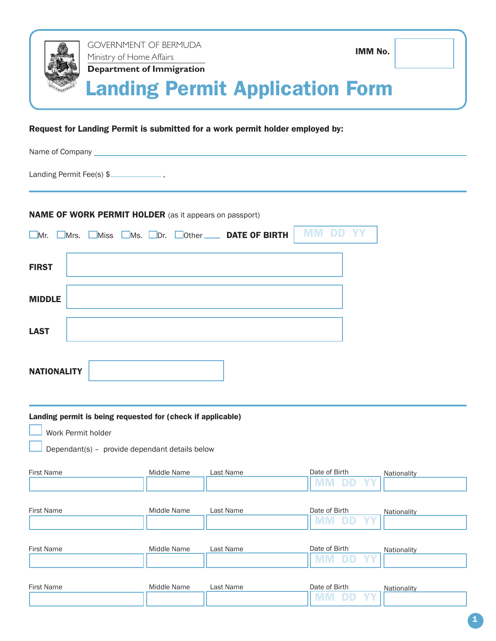

## Request for Landing Permit is submitted for a work permit holder employed by:

| Name of Company <b>All According to the Company</b> and Company and Company and Company and Company and Company and Company and Company and Company and Company and Company and Company and Company and Company and Company and Com |  |
|-------------------------------------------------------------------------------------------------------------------------------------------------------------------------------------------------------------------------------------|--|
| Landing Permit Fee(s) \$                                                                                                                                                                                                            |  |
| <b>NAME OF WORK PERMIT HOLDER</b> (as it appears on passport)<br><b>MM DD YY</b><br>Mr. Mrs. Miss Ms. ODr. Other DATE OF BIRTH                                                                                                      |  |
| <b>FIRST</b>                                                                                                                                                                                                                        |  |
| <b>MIDDLE</b>                                                                                                                                                                                                                       |  |
| <b>LAST</b>                                                                                                                                                                                                                         |  |
| <b>NATIONALITY</b>                                                                                                                                                                                                                  |  |

| Landing permit is being requested for (check if applicable)<br>Work Permit holder<br>Dependant(s) - provide dependant details below |             |           |                            |             |  |  |  |
|-------------------------------------------------------------------------------------------------------------------------------------|-------------|-----------|----------------------------|-------------|--|--|--|
| <b>First Name</b>                                                                                                                   | Middle Name | Last Name | Date of Birth<br><b>YY</b> | Nationality |  |  |  |
| <b>First Name</b>                                                                                                                   | Middle Name | Last Name | Date of Birth<br><b>YY</b> | Nationality |  |  |  |
| <b>First Name</b>                                                                                                                   | Middle Name | Last Name | Date of Birth<br>YY        | Nationality |  |  |  |
| <b>First Name</b>                                                                                                                   | Middle Name | Last Name | Date of Birth<br>YY        | Nationality |  |  |  |